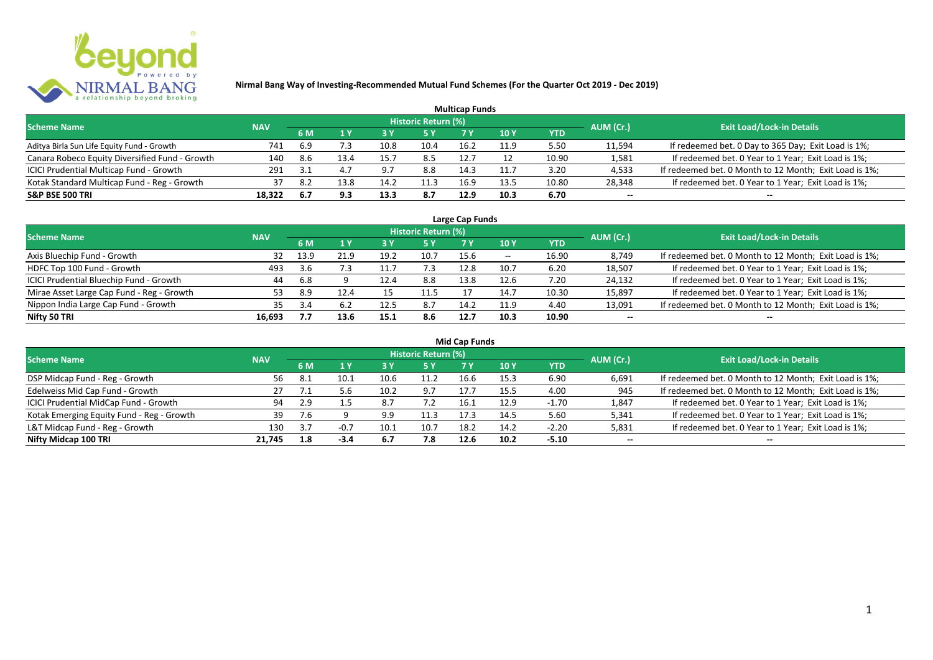

|                                                |            |     |      |      |                            | <b>Multicap Funds</b> |                 |            |           |                                                        |
|------------------------------------------------|------------|-----|------|------|----------------------------|-----------------------|-----------------|------------|-----------|--------------------------------------------------------|
| <b>Scheme Name</b>                             | <b>NAV</b> |     |      |      | <b>Historic Return (%)</b> |                       |                 |            | AUM (Cr.) | <b>Exit Load/Lock-in Details</b>                       |
|                                                |            | 6 M |      | 73 Y |                            |                       | 10 <sub>Y</sub> | <b>YTD</b> |           |                                                        |
| Aditya Birla Sun Life Equity Fund - Growth     | 741        | 6.9 |      | 10.8 | 10.4                       | 16.2                  | 11.9            | 5.50       | 11,594    | If redeemed bet. 0 Day to 365 Day; Exit Load is 1%;    |
| Canara Robeco Equity Diversified Fund - Growth | 140        | 8.6 |      | 15.7 | 8.5                        | 12.7                  |                 | 10.90      | 1,581     | If redeemed bet. 0 Year to 1 Year; Exit Load is 1%;    |
| ICICI Prudential Multicap Fund - Growth        | 291        | 3.1 |      | 9.7  | 8.8                        | 14.3                  | 11.7            | 3.20       | 4,533     | If redeemed bet. 0 Month to 12 Month; Exit Load is 1%; |
| Kotak Standard Multicap Fund - Reg - Growth    | 37         | 8.2 | 13 R | 14.2 | 11.3                       | 16.9                  | 13.5            | 10.80      | 28,348    | If redeemed bet. 0 Year to 1 Year; Exit Load is 1%;    |
| <b>S&amp;P BSE 500 TRI</b>                     | 18,322     | 6.7 | 9.3  | 13.3 | 8.7                        | 12.9                  | 10.3            | 6.70       | $- -$     | --                                                     |

| Large Cap Funds                           |            |      |      |      |                            |      |            |       |           |                                                        |  |  |  |
|-------------------------------------------|------------|------|------|------|----------------------------|------|------------|-------|-----------|--------------------------------------------------------|--|--|--|
| <b>Scheme Name</b>                        | <b>NAV</b> |      |      |      | <b>Historic Return (%)</b> |      |            |       | AUM (Cr.) | <b>Exit Load/Lock-in Details</b>                       |  |  |  |
|                                           |            | 6 M  |      |      | 5 Y                        |      | <b>10Y</b> | YTD   |           |                                                        |  |  |  |
| Axis Bluechip Fund - Growth               | 32         | 13.9 | 21.9 | 19.2 | 10.7                       | 15.6 | $- -$      | 16.90 | 8,749     | If redeemed bet. 0 Month to 12 Month; Exit Load is 1%; |  |  |  |
| HDFC Top 100 Fund - Growth                | 493        | 3.6  |      |      | 7.3                        | 12.8 | 10.7       | 6.20  | 18,507    | If redeemed bet. 0 Year to 1 Year; Exit Load is 1%;    |  |  |  |
| ICICI Prudential Bluechip Fund - Growth   | 44         | 6.8  |      | 12.4 | 8.8                        | 13.8 | 12.6       | 7.20  | 24,132    | If redeemed bet. 0 Year to 1 Year; Exit Load is 1%;    |  |  |  |
| Mirae Asset Large Cap Fund - Reg - Growth | 53.        | 8.9  | 12.4 |      | 11.5                       |      | 14.7       | 10.30 | 15,897    | If redeemed bet. 0 Year to 1 Year; Exit Load is 1%;    |  |  |  |
| Nippon India Large Cap Fund - Growth      | 35         |      | 6.2  | 12.5 | 8.7                        | 14.2 | 11.9       | 4.40  | 13,091    | If redeemed bet. 0 Month to 12 Month; Exit Load is 1%; |  |  |  |
| Nifty 50 TRI                              | 16.693     | 7.7  | 13.6 | 15.1 | 8.6                        | 12.7 | 10.3       | 10.90 | $- -$     | $- -$                                                  |  |  |  |

| <b>Mid Cap Funds</b>                      |            |     |        |      |                            |      |      |            |           |                                                        |  |  |  |  |
|-------------------------------------------|------------|-----|--------|------|----------------------------|------|------|------------|-----------|--------------------------------------------------------|--|--|--|--|
| <b>Scheme Name</b>                        | <b>NAV</b> |     |        |      | <b>Historic Return (%)</b> |      |      |            | AUM (Cr.) | <b>Exit Load/Lock-in Details</b>                       |  |  |  |  |
|                                           |            | 6 M |        |      | 5 Y                        | 7 Y  | 10 Y | <b>YTD</b> |           |                                                        |  |  |  |  |
| DSP Midcap Fund - Reg - Growth            | 56         | 8.⊥ | 10.1   | 10.6 | 11.2                       | 16.6 | 15.3 | 6.90       | 6,691     | If redeemed bet. 0 Month to 12 Month; Exit Load is 1%; |  |  |  |  |
| Edelweiss Mid Cap Fund - Growth           | 27         |     | 5.6    | 10.2 | 9.7                        | 17.7 | 15.5 | 4.00       | 945       | If redeemed bet. 0 Month to 12 Month; Exit Load is 1%; |  |  |  |  |
| ICICI Prudential MidCap Fund - Growth     | 94         | 2.9 |        | 8    | 7.2                        | 16.1 | 12.9 | $-1.70$    | 1,847     | If redeemed bet. 0 Year to 1 Year; Exit Load is 1%;    |  |  |  |  |
| Kotak Emerging Equity Fund - Reg - Growth | 39.        |     |        | 9.9  | 11.3                       | 17.3 | 14.5 | 5.60       | 5,341     | If redeemed bet. 0 Year to 1 Year; Exit Load is 1%;    |  |  |  |  |
| L&T Midcap Fund - Reg - Growth            | 130        | 3.7 | $-0.7$ | 10.1 | 10.7                       | 18.2 | 14.2 | $-2.20$    | 5,831     | If redeemed bet. 0 Year to 1 Year; Exit Load is 1%;    |  |  |  |  |
| Nifty Midcap 100 TRI                      | 21.745     | 1.8 | -3.4   | 6.7  | 7.8                        | 12.6 | 10.2 | $-5.10$    | $- -$     | $- -$                                                  |  |  |  |  |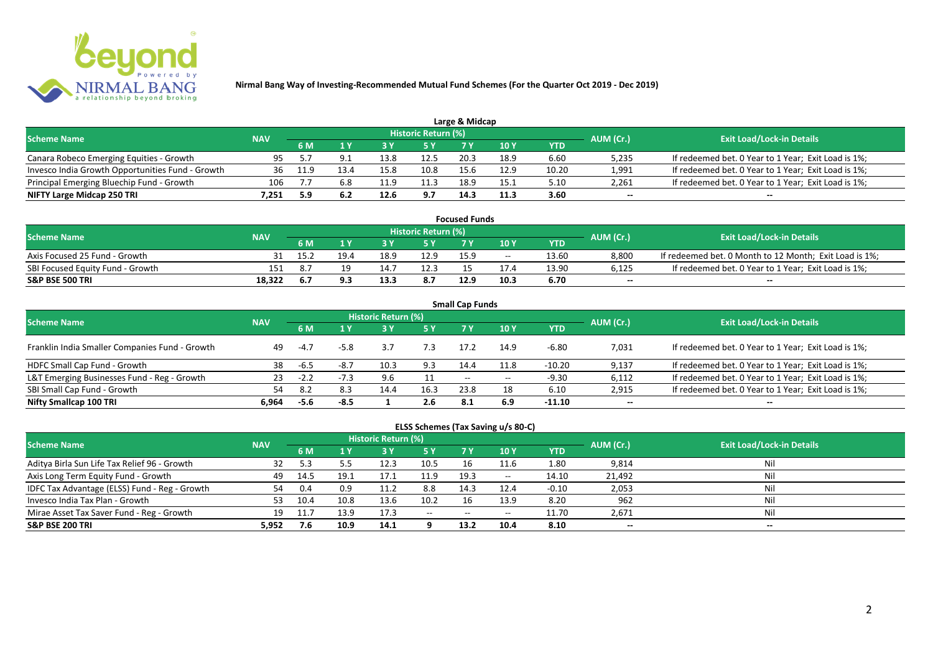

|                                                  |            |      |     |      |                            | Large & Midcap |      |       |           |                                                     |
|--------------------------------------------------|------------|------|-----|------|----------------------------|----------------|------|-------|-----------|-----------------------------------------------------|
| <b>Scheme Name</b>                               | <b>NAV</b> |      |     |      | <b>Historic Return (%)</b> |                |      |       | AUM (Cr.) | <b>Exit Load/Lock-in Details</b>                    |
|                                                  |            | 6 M  |     |      | 5 Y                        |                | 10Y  | YTD   |           |                                                     |
| Canara Robeco Emerging Equities - Growth         | 95         |      |     |      | 12.5                       | 20.3           | 18.9 | 6.60  | 5,235     | If redeemed bet. 0 Year to 1 Year; Exit Load is 1%; |
| Invesco India Growth Opportunities Fund - Growth | 36         | 11.9 |     | 15.8 | 10.8                       | 15.6           | 12.9 | 10.20 | 1,991     | If redeemed bet. 0 Year to 1 Year; Exit Load is 1%; |
| Principal Emerging Bluechip Fund - Growth        | 106        |      | 6.8 |      | 11.3                       | 18.9           | 15.1 | 5.10  | 2,261     | If redeemed bet. 0 Year to 1 Year; Exit Load is 1%; |
| NIFTY Large Midcap 250 TRI                       | 7.251      | 5.9  | 6.2 | 12.6 | 9.7                        | 14.3           | 11.3 | 3.60  | $-$       | $- -$                                               |

| <b>Focused Funds</b>             |            |     |      |      |                     |      |       |       |           |                                                        |  |  |  |
|----------------------------------|------------|-----|------|------|---------------------|------|-------|-------|-----------|--------------------------------------------------------|--|--|--|
| <b>Scheme Name</b>               | <b>NAV</b> |     |      |      | Historic Return (%) |      |       |       | AUM (Cr.) | <b>Exit Load/Lock-in Details</b>                       |  |  |  |
|                                  |            | 6 M |      |      | 5 Y                 |      |       | YTD   |           |                                                        |  |  |  |
| Axis Focused 25 Fund - Growth    |            | 15. | 19.4 | 18.9 | 12.9                | 15.9 | $- -$ | 13.60 | 8,800     | If redeemed bet. 0 Month to 12 Month; Exit Load is 1%; |  |  |  |
| SBI Focused Equity Fund - Growth | 151        |     |      |      | 12.3                |      | 17.4  | 13.90 | 6,125     | If redeemed bet. 0 Year to 1 Year; Exit Load is 1%;    |  |  |  |
| <b>S&amp;P BSE 500 TRI</b>       | 18.322     |     | 9.3  | 13.3 | 8.7                 | 12.9 | 10.3  | 6.70  | $-$       | $- -$                                                  |  |  |  |

| <b>Small Cap Funds</b>                         |            |        |        |                     |           |                          |       |            |           |                                                     |  |  |  |
|------------------------------------------------|------------|--------|--------|---------------------|-----------|--------------------------|-------|------------|-----------|-----------------------------------------------------|--|--|--|
| <b>Scheme Name</b>                             | <b>NAV</b> |        |        | Historic Return (%) |           |                          |       |            | AUM (Cr.) | <b>Exit Load/Lock-in Details</b>                    |  |  |  |
|                                                |            |        |        |                     | <b>5Y</b> | 7 Y                      | 10Y   | <b>YTD</b> |           |                                                     |  |  |  |
| Franklin India Smaller Companies Fund - Growth | 49         |        | $-5.8$ | 3.                  | 7.3       | 17.2                     | 14.9  | $-6.80$    | 7,031     | If redeemed bet. 0 Year to 1 Year; Exit Load is 1%; |  |  |  |
| HDFC Small Cap Fund - Growth                   | 38         | -6.5   | $-8.7$ | 10.3                | 9.3       | 14.4                     | 11.8  | $-10.20$   | 9,137     | If redeemed bet. 0 Year to 1 Year; Exit Load is 1%; |  |  |  |
| L&T Emerging Businesses Fund - Reg - Growth    | 23         | $-2.2$ | -7.3   | 9.6                 | 11        | $\overline{\phantom{a}}$ | $- -$ | $-9.30$    | 6,112     | If redeemed bet. 0 Year to 1 Year; Exit Load is 1%; |  |  |  |
| SBI Small Cap Fund - Growth                    |            | 8.2    | 8.3    | 14.4                | 16.3      | 23.8                     | 18    | 6.10       | 2,915     | If redeemed bet. 0 Year to 1 Year; Exit Load is 1%; |  |  |  |
| Nifty Smallcap 100 TRI                         | 6.964      | $-5.6$ | $-8.5$ |                     | 2.6       | -8.1                     | 6.9   | $-11.10$   | $- -$     | --                                                  |  |  |  |

## **ELSS Schemes (Tax Saving u/s 80-C)**

| <b>Scheme Name</b>                            | <b>NAV</b> |      |      | <b>Historic Return (%)</b> |              |      |            |         | AUM (Cr.) | <b>Exit Load/Lock-in Details</b> |
|-----------------------------------------------|------------|------|------|----------------------------|--------------|------|------------|---------|-----------|----------------------------------|
|                                               |            | 6 M  |      |                            | <b>5Y</b>    | 7 V  | <b>10Y</b> | YTD     |           |                                  |
| Aditya Birla Sun Life Tax Relief 96 - Growth  |            |      |      | 12.3                       | 10.5         | 16   | 11.6       | 1.80    | 9,814     | Nil                              |
| Axis Long Term Equity Fund - Growth           | 49         | 14.5 | 19.1 | 17.1                       | 11.9         | 19.3 | $- -$      | 14.10   | 21,492    | Nil                              |
| IDFC Tax Advantage (ELSS) Fund - Reg - Growth | 54         | 0.4  | 0.9  | 11.2                       | 8.8          | 14.3 | 12.4       | $-0.10$ | 2,053     | Nil                              |
| Invesco India Tax Plan - Growth               | 53         | 10.4 | 10.8 | 13.6                       | 10.2         |      | 13.9       | 8.20    | 962       | Nil                              |
| Mirae Asset Tax Saver Fund - Reg - Growth     | 19         |      | 13.9 | 17.3                       | $-$ – $\sim$ | $-$  | $- -$      | 11.70   | 2,671     | Nil                              |
| <b>S&amp;P BSE 200 TRI</b>                    | 5.952      | 7.6  | 10.9 | 14.1                       |              | 13.2 | 10.4       | 8.10    | $- -$     | $- -$                            |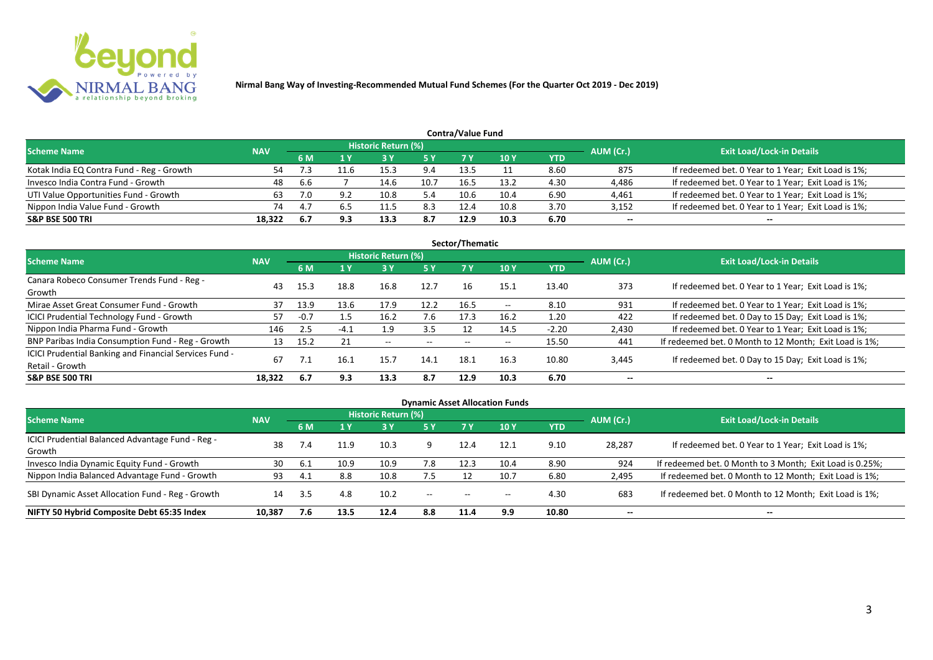

| <b>Contra/Value Fund</b>                  |            |      |      |                            |           |      |            |            |           |                                                     |  |  |  |  |
|-------------------------------------------|------------|------|------|----------------------------|-----------|------|------------|------------|-----------|-----------------------------------------------------|--|--|--|--|
| <b>Scheme Name</b>                        | <b>NAV</b> |      |      | <b>Historic Return (%)</b> |           |      |            |            | AUM (Cr.) | <b>Exit Load/Lock-in Details</b>                    |  |  |  |  |
|                                           |            | 6 M  |      |                            | <b>5Y</b> |      | <b>10Y</b> | <b>YTD</b> |           |                                                     |  |  |  |  |
| Kotak India EQ Contra Fund - Reg - Growth | 54         |      | ⊥1.b | 15.3                       | 9.4       | 13.5 |            | 8.60       | 875       | If redeemed bet. 0 Year to 1 Year; Exit Load is 1%; |  |  |  |  |
| Invesco India Contra Fund - Growth        | 48         | 6.6  |      | 14.6                       | 10.7      | 16.5 | 13.2       | 4.30       | 4,486     | If redeemed bet. 0 Year to 1 Year; Exit Load is 1%; |  |  |  |  |
| UTI Value Opportunities Fund - Growth     | 63         |      |      | 10.8                       |           | 10.6 | 10.4       | 6.90       | 4,461     | If redeemed bet. 0 Year to 1 Year; Exit Load is 1%; |  |  |  |  |
| Nippon India Value Fund - Growth          | 74         | 4. . |      |                            | 8.3       | 12.4 | 10.8       | 3.70       | 3,152     | If redeemed bet. 0 Year to 1 Year; Exit Load is 1%; |  |  |  |  |
| <b>S&amp;P BSE 500 TRI</b>                | 18.322     | -6.7 | 9.3  | 13.3                       | 8.7       | 12.9 | 10.3       | 6.70       | $- -$     | $- -$                                               |  |  |  |  |

| Sector/Thematic                                                           |            |        |        |                            |           |      |       |            |           |                                                        |  |  |  |  |
|---------------------------------------------------------------------------|------------|--------|--------|----------------------------|-----------|------|-------|------------|-----------|--------------------------------------------------------|--|--|--|--|
| Scheme Name                                                               | <b>NAV</b> |        |        | <b>Historic Return (%)</b> |           |      |       |            | AUM (Cr.) | <b>Exit Load/Lock-in Details</b>                       |  |  |  |  |
|                                                                           |            | 6 M    | 1Y     | 3 Y                        | <b>5Y</b> | 7 Y  | 10Y   | <b>YTD</b> |           |                                                        |  |  |  |  |
| Canara Robeco Consumer Trends Fund - Reg -<br>Growth                      | 43         | 15.3   | 18.8   | 16.8                       | 12.7      | 16   | 15.1  | 13.40      | 373       | If redeemed bet. 0 Year to 1 Year; Exit Load is 1%;    |  |  |  |  |
| Mirae Asset Great Consumer Fund - Growth                                  | 37         | 13.9   | 13.6   | 17.9                       | 12.2      | 16.5 | $- -$ | 8.10       | 931       | If redeemed bet. 0 Year to 1 Year; Exit Load is 1%;    |  |  |  |  |
| <b>ICICI Prudential Technology Fund - Growth</b>                          | 57         | $-0.7$ | 1.5    | 16.2                       | 7.6       | 17.3 | 16.2  | 1.20       | 422       | If redeemed bet. 0 Day to 15 Day; Exit Load is 1%;     |  |  |  |  |
| Nippon India Pharma Fund - Growth                                         | 146        | 2.5    | $-4.1$ | 1.9                        | 3.5       |      | 14.5  | $-2.20$    | 2,430     | If redeemed bet. 0 Year to 1 Year; Exit Load is 1%;    |  |  |  |  |
| BNP Paribas India Consumption Fund - Reg - Growth                         | 13         | 15.2   | 21     | $- -$                      | $- -$     | $-$  | $- -$ | 15.50      | 441       | If redeemed bet. 0 Month to 12 Month; Exit Load is 1%; |  |  |  |  |
| ICICI Prudential Banking and Financial Services Fund -<br>Retail - Growth | 67         |        | 16.1   | 15.7                       | 14.1      | 18.1 | 16.3  | 10.80      | 3,445     | If redeemed bet. 0 Day to 15 Day; Exit Load is 1%;     |  |  |  |  |
| <b>S&amp;P BSE 500 TRI</b>                                                | 18.322     | 6.7    | 9.3    | 13.3                       | 8.7       | 12.9 | 10.3  | 6.70       | --        | --                                                     |  |  |  |  |

| <b>Dynamic Asset Allocation Funds</b>                      |            |           |      |                            |         |                          |            |            |           |                                                          |  |  |  |
|------------------------------------------------------------|------------|-----------|------|----------------------------|---------|--------------------------|------------|------------|-----------|----------------------------------------------------------|--|--|--|
| Scheme Name                                                | <b>NAV</b> |           |      | <b>Historic Return (%)</b> |         |                          |            |            |           | <b>Exit Load/Lock-in Details</b>                         |  |  |  |
|                                                            |            | <b>6M</b> | 1 Y  | 3 Y                        | 5 Y     | <b>7Y</b>                | <b>10Y</b> | <b>YTD</b> | AUM (Cr.) |                                                          |  |  |  |
| ICICI Prudential Balanced Advantage Fund - Reg -<br>Growth | 38         | 7.4       | 11.9 | 10.3                       |         | 12.4                     | 12.1       | 9.10       | 28,287    | If redeemed bet. 0 Year to 1 Year; Exit Load is 1%;      |  |  |  |
| Invesco India Dynamic Equity Fund - Growth                 | 30         | 6.1       | 10.9 | 10.9                       | 7.8     | 12.3                     | 10.4       | 8.90       | 924       | If redeemed bet. 0 Month to 3 Month; Exit Load is 0.25%; |  |  |  |
| Nippon India Balanced Advantage Fund - Growth              | 93         | -4.1      | 8.8  | 10.8                       | 7.5     |                          | 10.7       | 6.80       | 2,495     | If redeemed bet. 0 Month to 12 Month; Exit Load is 1%;   |  |  |  |
| SBI Dynamic Asset Allocation Fund - Reg - Growth           | 14         |           | 4.8  | 10.2                       | $-  \,$ | $\overline{\phantom{a}}$ | $- -$      | 4.30       | 683       | If redeemed bet. 0 Month to 12 Month; Exit Load is 1%;   |  |  |  |
| NIFTY 50 Hybrid Composite Debt 65:35 Index                 | 10,387     | 7.6       | 13.5 | 12.4                       | 8.8     | 11.4                     | 9.9        | 10.80      | $- -$     | $- -$                                                    |  |  |  |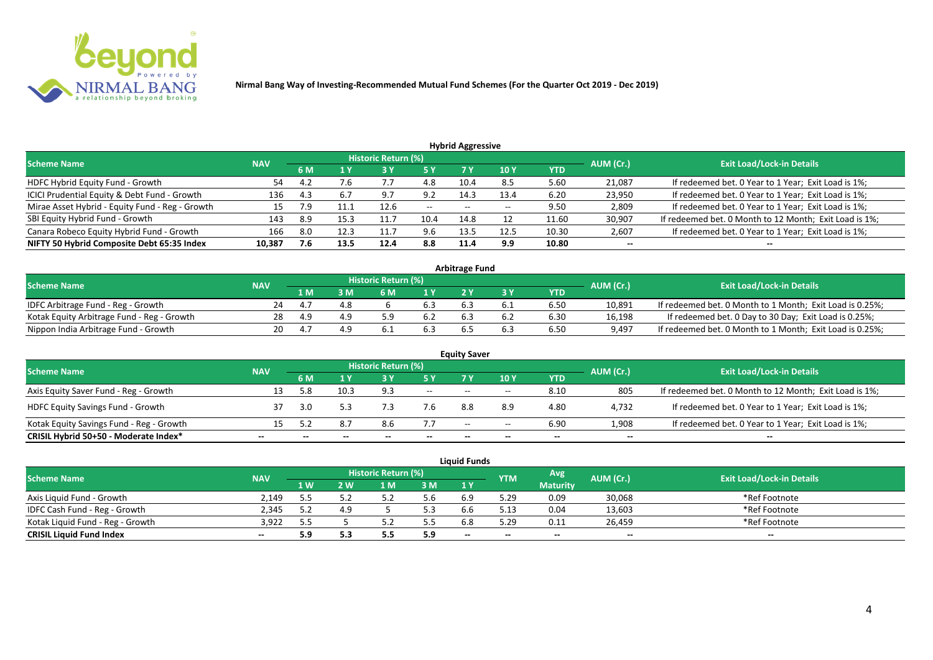

| <b>Hybrid Aggressive</b>                        |            |     |      |                            |       |                                            |      |       |        |                                                        |  |  |  |
|-------------------------------------------------|------------|-----|------|----------------------------|-------|--------------------------------------------|------|-------|--------|--------------------------------------------------------|--|--|--|
| <b>Scheme Name</b>                              | <b>NAV</b> |     |      | <b>Historic Return (%)</b> |       |                                            |      |       |        | <b>Exit Load/Lock-in Details</b>                       |  |  |  |
|                                                 |            | 6 M | 1 Y  |                            | 5 Y   | AUM (Cr.)<br>10 <sub>1</sub><br><b>YTD</b> |      |       |        |                                                        |  |  |  |
| HDFC Hybrid Equity Fund - Growth                | 54         | 4.4 | 7.6  |                            | 4.8   | 10.4                                       | 8.5  | 5.60  | 21,087 | If redeemed bet. 0 Year to 1 Year; Exit Load is 1%;    |  |  |  |
| ICICI Prudential Equity & Debt Fund - Growth    | 136        | 4.3 | b. / | 9.7                        | 9.2   | 14.3                                       | 13.4 | 6.20  | 23,950 | If redeemed bet. 0 Year to 1 Year; Exit Load is 1%;    |  |  |  |
| Mirae Asset Hybrid - Equity Fund - Reg - Growth | 15         |     |      | 12.6                       | $- -$ | $- -$                                      | $-$  | 9.50  | 2,809  | If redeemed bet. 0 Year to 1 Year; Exit Load is 1%;    |  |  |  |
| SBI Equity Hybrid Fund - Growth                 | 143        | 8.9 | 15.3 | 11.                        | 10.4  | 14.8                                       |      | 11.60 | 30,907 | If redeemed bet. 0 Month to 12 Month; Exit Load is 1%; |  |  |  |
| Canara Robeco Equity Hybrid Fund - Growth       | 166        | 8.0 | 12.3 | 11.                        | 9.6   | 13.5                                       | 12.5 | 10.30 | 2,607  | If redeemed bet. 0 Year to 1 Year; Exit Load is 1%;    |  |  |  |
| NIFTY 50 Hybrid Composite Debt 65:35 Index      | 10,387     | 7.6 | 13.5 | 12.4                       | 8.8   | 11.4                                       | 9.9  | 10.80 | $- -$  | $- -$                                                  |  |  |  |

| <b>Arbitrage Fund</b>                      |            |     |     |                            |     |  |  |            |           |                                                          |  |  |  |  |
|--------------------------------------------|------------|-----|-----|----------------------------|-----|--|--|------------|-----------|----------------------------------------------------------|--|--|--|--|
| <b>Scheme Name</b>                         | <b>NAV</b> |     |     | <b>Historic Return (%)</b> |     |  |  |            | AUM (Cr.) | <b>Exit Load/Lock-in Details</b>                         |  |  |  |  |
|                                            |            | 1 M | M   | 6 M                        | 1 V |  |  | <b>YTD</b> |           |                                                          |  |  |  |  |
| IDFC Arbitrage Fund - Reg - Growth         | 24         |     | 4.8 |                            | 6.3 |  |  | 6.50       | 10,891    | If redeemed bet. 0 Month to 1 Month; Exit Load is 0.25%; |  |  |  |  |
| Kotak Equity Arbitrage Fund - Reg - Growth | 28         |     | 4 Q |                            |     |  |  | 6.30       | 16,198    | If redeemed bet. 0 Day to 30 Day; Exit Load is 0.25%;    |  |  |  |  |
| Nippon India Arbitrage Fund - Growth       | 20.        |     |     |                            | 6.3 |  |  | 6.50       | 9,497     | If redeemed bet. 0 Month to 1 Month; Exit Load is 0.25%; |  |  |  |  |

|                                          |            |     |      |                     |                          | <b>Equity Saver</b> |       |            |           |                                                        |
|------------------------------------------|------------|-----|------|---------------------|--------------------------|---------------------|-------|------------|-----------|--------------------------------------------------------|
| <b>Scheme Name</b>                       | <b>NAV</b> |     |      | Historic Return (%) |                          |                     |       |            | AUM (Cr.) | <b>Exit Load/Lock-in Details</b>                       |
|                                          |            | 6 M |      |                     |                          |                     | 10Y   | <b>YTD</b> |           |                                                        |
| Axis Equity Saver Fund - Reg - Growth    |            | 58  | 10.3 | 9.3                 | $\overline{\phantom{a}}$ | $-$                 | $-$   | 8.10       | 805       | If redeemed bet. 0 Month to 12 Month; Exit Load is 1%; |
| <b>HDFC Equity Savings Fund - Growth</b> |            | 3.0 |      |                     | 7.6                      | 8.8                 |       | 4.80       | 4,732     | If redeemed bet. 0 Year to 1 Year; Exit Load is 1%;    |
| Kotak Equity Savings Fund - Reg - Growth |            |     | 8.7  | 8.6                 | 7.7                      | $ -$                | $- -$ | 6.90       | 1,908     | If redeemed bet. 0 Year to 1 Year; Exit Load is 1%;    |
| CRISIL Hybrid 50+50 - Moderate Index*    | --         |     |      | $- -$               | --                       | --                  | $- -$ |            | $- -$     | $- -$                                                  |

|                                  |            |      |     |                     |     | <b>Liauid Funds</b> |            |                 |           |                                  |
|----------------------------------|------------|------|-----|---------------------|-----|---------------------|------------|-----------------|-----------|----------------------------------|
| <b>Scheme Name</b>               | <b>NAV</b> |      |     | Historic Return (%) |     |                     | <b>YTM</b> | Avg             | AUM (Cr.) | <b>Exit Load/Lock-in Details</b> |
|                                  |            | 1 W. | 2 W | l M                 | 3M  | 1Y                  |            | <b>Maturity</b> |           |                                  |
| Axis Liquid Fund - Growth        | 2.149      |      |     |                     | 5.6 |                     | 5.29       | 0.09            | 30,068    | *Ref Footnote                    |
| IDFC Cash Fund - Reg - Growth    | 2.345      | 5.2  |     |                     | 5.3 |                     | 、1つ        | 0.04            | 13,603    | *Ref Footnote                    |
| Kotak Liquid Fund - Reg - Growth | 3.922      | כ.כ  |     |                     | 5.5 | 6.8                 | 5.29       | 0.11            | 26,459    | *Ref Footnote                    |
| <b>CRISIL Liquid Fund Index</b>  | $- -$      | 5.9  | 5.3 |                     | 5.9 | $- -$               |            | $- -$           | $- -$     | $- -$                            |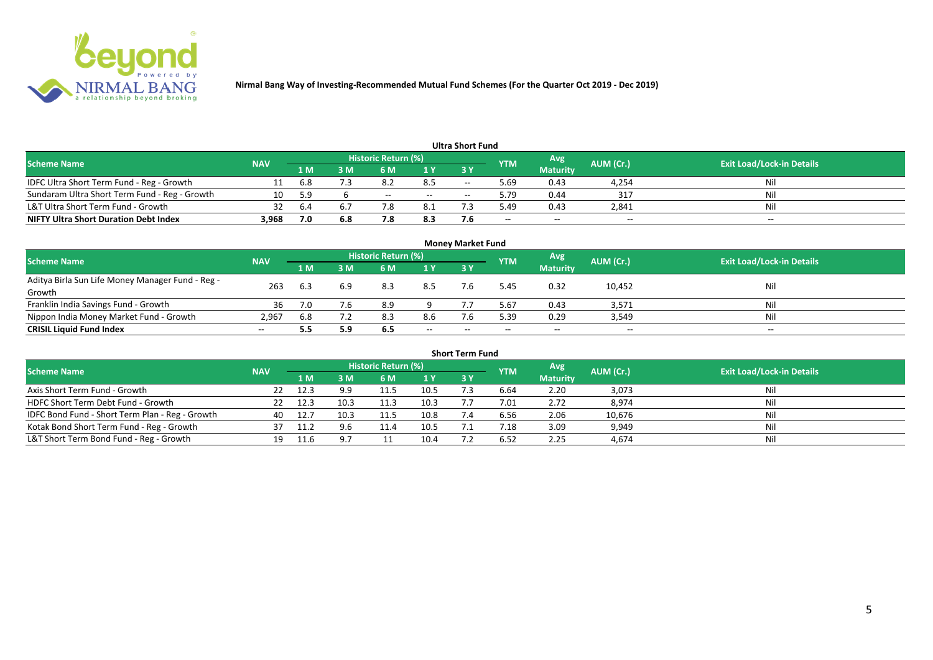

|                                               |            |     |     |                            |        | Ultra Short Fund         |                          |                 |           |                                  |
|-----------------------------------------------|------------|-----|-----|----------------------------|--------|--------------------------|--------------------------|-----------------|-----------|----------------------------------|
| <b>Scheme Name</b>                            | <b>NAV</b> |     |     | <b>Historic Return (%)</b> |        |                          | <b>YTM</b>               | Avg             | AUM (Cr.) | <b>Exit Load/Lock-in Details</b> |
|                                               |            | 1 M | : M | 6 M                        | 1 Y    | 3 Y                      |                          | <b>Maturity</b> |           |                                  |
| IDFC Ultra Short Term Fund - Reg - Growth     |            | 6.8 |     | 8.2                        | 8.5    | $-$                      | 5.69                     | 0.43            | 4,254     | Nil                              |
| Sundaram Ultra Short Term Fund - Reg - Growth | 10         | 5.9 |     | $- -$                      | $\sim$ | $\overline{\phantom{a}}$ | 9.79                     | 0.44            | 317       | Nil                              |
| L&T Ultra Short Term Fund - Growth            |            | 6.4 |     |                            | -8.1   |                          | 49ء                      | 0.43            | 2,841     | Nil                              |
| <b>NIFTY Ultra Short Duration Debt Index</b>  | 3.968      | 7.0 | 6.8 | 7.8                        | 8.3    |                          | $\overline{\phantom{a}}$ | $- -$           | $-$       | $- -$                            |

| <b>Money Market Fund</b>                                   |            |     |     |                     |       |           |            |                 |           |                                  |  |  |  |
|------------------------------------------------------------|------------|-----|-----|---------------------|-------|-----------|------------|-----------------|-----------|----------------------------------|--|--|--|
| <b>Scheme Name</b>                                         | <b>NAV</b> |     |     | Historic Return (%) |       |           | <b>YTM</b> | Avg'            | AUM (Cr.) | <b>Exit Load/Lock-in Details</b> |  |  |  |
|                                                            |            | 1 M | 3 M | 6 M                 | 1Y    | <b>3Y</b> |            | <b>Maturity</b> |           |                                  |  |  |  |
| Aditya Birla Sun Life Money Manager Fund - Reg -<br>Growth | 263        | 6.3 | 6.9 | 8.3                 | 8.5   |           | 5.45       | 0.32            | 10,452    | Nil                              |  |  |  |
| Franklin India Savings Fund - Growth                       | 36         | 7.0 | 7.6 | 8.9                 |       |           | 5.67       | 0.43            | 3,571     | Nil                              |  |  |  |
| Nippon India Money Market Fund - Growth                    | 2,967      | 6.8 |     | 8.3                 | 8.6   |           | 5.39       | 0.29            | 3,549     | Nil                              |  |  |  |
| <b>CRISIL Liquid Fund Index</b>                            | $- -$      | 5.5 | 5.9 | 6.5                 | $- -$ | $- -$     | $- -$      | $- -$           | $- -$     | $- -$                            |  |  |  |

| <b>Short Term Fund</b>                          |            |      |      |                            |      |           |            |                 |           |                                  |  |  |  |
|-------------------------------------------------|------------|------|------|----------------------------|------|-----------|------------|-----------------|-----------|----------------------------------|--|--|--|
| <b>Scheme Name</b>                              | <b>NAV</b> |      |      | <b>Historic Return (%)</b> |      |           | <b>YTM</b> | Avg             | AUM (Cr.) | <b>Exit Load/Lock-in Details</b> |  |  |  |
|                                                 |            | 1 M  | 3 M  | 6 M                        | 1Y   | <b>3Y</b> |            | <b>Maturity</b> |           |                                  |  |  |  |
| Axis Short Term Fund - Growth                   | 22         | 12.3 | 9.9  | 11.5                       | 10.5 |           | 6.64       | 2.20            | 3,073     | Nil                              |  |  |  |
| HDFC Short Term Debt Fund - Growth              |            | 12.3 | 10.3 | 11.3                       | 10.3 |           | 7.01       | 2.72            | 8,974     | Nil                              |  |  |  |
| IDFC Bond Fund - Short Term Plan - Reg - Growth | 40         | 12.7 | 10.3 | 11.5                       | 10.8 |           | 6.56       | 2.06            | 10,676    | Nil                              |  |  |  |
| Kotak Bond Short Term Fund - Reg - Growth       |            |      |      |                            | 10.5 |           | 1.18       | 3.09            | 9,949     | Nil                              |  |  |  |
| L&T Short Term Bond Fund - Reg - Growth         | 19         | 11.6 |      |                            | 10.4 |           | 6.52       | 2.25            | 4,674     | Nil                              |  |  |  |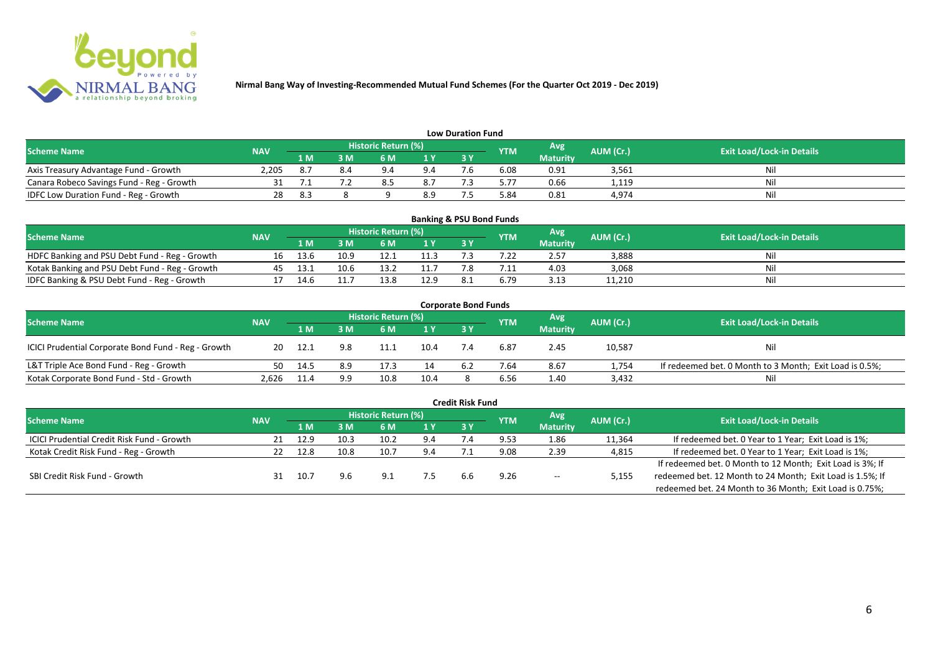

| <b>Low Duration Fund</b>                  |            |      |     |                            |     |     |            |                 |           |                                  |  |  |  |
|-------------------------------------------|------------|------|-----|----------------------------|-----|-----|------------|-----------------|-----------|----------------------------------|--|--|--|
| <b>Scheme Name</b>                        | <b>NAV</b> |      |     | <b>Historic Return (%)</b> |     |     | <b>YTM</b> | Avg             | AUM (Cr.) | <b>Exit Load/Lock-in Details</b> |  |  |  |
|                                           |            | 1 M  | 3 M |                            | 1Y  | 3Y  |            | <b>Maturity</b> |           |                                  |  |  |  |
| Axis Treasury Advantage Fund - Growth     | 2.205      |      |     | 9 A                        | 9.4 | - - | 6.08       | 0.91            | 3,561     | Ni                               |  |  |  |
| Canara Robeco Savings Fund - Reg - Growth |            |      |     |                            | 8.7 |     | 5.77       | 0.66            | 1,119     | Nil                              |  |  |  |
| IDFC Low Duration Fund - Reg - Growth     |            | -8.3 |     |                            | 8.9 |     | 84.ز       | 0.81            | 4,974     | Nil                              |  |  |  |

| <b>Banking &amp; PSU Bond Funds</b>            |            |      |      |                            |      |            |            |                 |           |                                  |  |  |  |
|------------------------------------------------|------------|------|------|----------------------------|------|------------|------------|-----------------|-----------|----------------------------------|--|--|--|
| <b>Scheme Name</b>                             | <b>NAV</b> |      |      | <b>Historic Return (%)</b> |      |            | <b>YTM</b> | Avg             | AUM (Cr.) | <b>Exit Load/Lock-in Details</b> |  |  |  |
|                                                |            | 1 M  |      | 6 M                        |      | <b>3 Y</b> |            | <b>Maturity</b> |           |                                  |  |  |  |
| HDFC Banking and PSU Debt Fund - Reg - Growth  | 16         | 13.6 | 10.9 |                            | 11.3 |            |            | 2.57            | 3,888     | Nil                              |  |  |  |
| Kotak Banking and PSU Debt Fund - Reg - Growth | 45         | 13.1 | 10.6 | 13.2                       |      |            |            | 4.03            | 3,068     | Nil                              |  |  |  |
| IDFC Banking & PSU Debt Fund - Reg - Growth    |            | 14.6 |      | 13.8                       | 12.9 |            | 6.79       | 3.13            | 11,210    | Nil                              |  |  |  |

| <b>Corporate Bond Funds</b>                         |            |       |     |                            |                |     |            |                 |           |                                                         |  |  |  |
|-----------------------------------------------------|------------|-------|-----|----------------------------|----------------|-----|------------|-----------------|-----------|---------------------------------------------------------|--|--|--|
| <b>Scheme Name</b>                                  | <b>NAV</b> |       |     | <b>Historic Return (%)</b> |                |     | <b>YTM</b> | Avg             | AUM (Cr.) | <b>Exit Load/Lock-in Details</b>                        |  |  |  |
|                                                     |            | 1 M   | : M | 6 M                        | 1 <sup>Y</sup> | 3 Y |            | <b>Maturity</b> |           |                                                         |  |  |  |
| ICICI Prudential Corporate Bond Fund - Reg - Growth | 20         | -12.1 | 9.8 | 11.1                       | 10.4           |     | 6.87       | 2.45            | 10,587    | <b>Nil</b>                                              |  |  |  |
| L&T Triple Ace Bond Fund - Reg - Growth             | 50         | 14.5  | 8.9 | 17.3                       | 14             |     | 7.64       | 8.67            | 1,754     | If redeemed bet. 0 Month to 3 Month; Exit Load is 0.5%; |  |  |  |
| Kotak Corporate Bond Fund - Std - Growth            | 2.626      | 11.4  | 9.9 | 10.8                       | 10.4           |     | 6.56       | 1.40            | 3,432     | Nil                                                     |  |  |  |

|                                                   |            |      |      |                            |     | <b>Credit Risk Fund</b> |            |                 |           |                                                           |
|---------------------------------------------------|------------|------|------|----------------------------|-----|-------------------------|------------|-----------------|-----------|-----------------------------------------------------------|
| <b>Scheme Name</b>                                | <b>NAV</b> |      |      | <b>Historic Return (%)</b> |     |                         | <b>YTM</b> | Avg             | AUM (Cr.) | <b>Exit Load/Lock-in Details</b>                          |
|                                                   |            | 1 M  | 3 M  | 6 M                        | 1 Y | 3 Y                     |            | <b>Maturity</b> |           |                                                           |
| <b>ICICI Prudential Credit Risk Fund - Growth</b> | 21         | 12.9 | 10.3 | 10.2                       | 9.4 |                         | 9.53       | 1.86            | 11,364    | If redeemed bet. 0 Year to 1 Year; Exit Load is 1%;       |
| Kotak Credit Risk Fund - Reg - Growth             |            | 12.8 | 10.8 | 10.7                       | 9.4 |                         | 9.08       | 2.39            | 4,815     | If redeemed bet. 0 Year to 1 Year; Exit Load is 1%;       |
|                                                   |            |      |      |                            |     |                         |            |                 |           | If redeemed bet. 0 Month to 12 Month; Exit Load is 3%; If |
| SBI Credit Risk Fund - Growth                     |            | 10.7 | 9.6  | ۹                          |     | h.h                     | 9.26       | $- -$           | 5,155     | redeemed bet. 12 Month to 24 Month; Exit Load is 1.5%; If |
|                                                   |            |      |      |                            |     |                         |            |                 |           | redeemed bet. 24 Month to 36 Month; Exit Load is 0.75%;   |